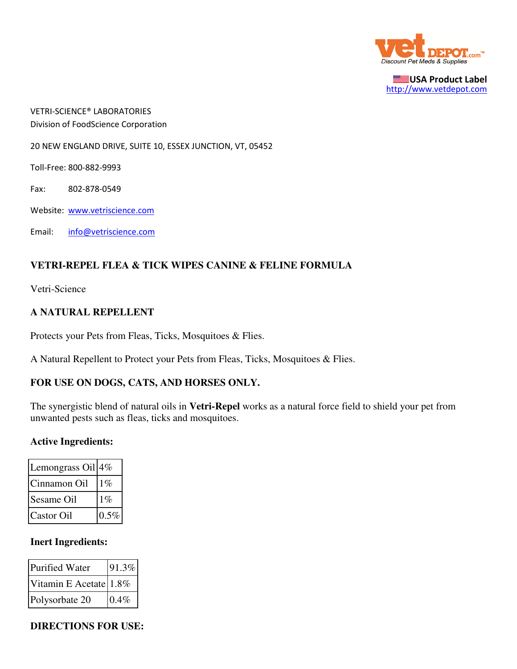

USA Product Label http://www.vetdepot.com

VETRI-SCIENCE® LABORATORIES Division of FoodScience Corporation

20 NEW ENGLAND DRIVE, SUITE 10, ESSEX JUNCTION, VT, 05452

Toll-Free: 800-882-9993

Fax: 802-878-0549

Website: www.vetriscience.com

Email: info@vetriscience.com

### **VETRI-REPEL FLEA & TICK WIPES CANINE & FELINE FORMULA**

Vetri-Science

#### **A NATURAL REPELLENT**

Protects your Pets from Fleas, Ticks, Mosquitoes & Flies.

A Natural Repellent to Protect your Pets from Fleas, Ticks, Mosquitoes & Flies.

#### **FOR USE ON DOGS, CATS, AND HORSES ONLY.**

The synergistic blend of natural oils in **Vetri-Repel** works as a natural force field to shield your pet from unwanted pests such as fleas, ticks and mosquitoes.

#### **Active Ingredients:**

| Lemongrass Oil <sup>4%</sup> |         |
|------------------------------|---------|
| Cinnamon Oil                 | $1\%$   |
| Sesame Oil                   | $1\%$   |
| Castor Oil                   | $0.5\%$ |

#### **Inert Ingredients:**

| Purified Water            | 91.3% |
|---------------------------|-------|
| Vitamin E Acetate $1.8\%$ |       |
| Polysorbate 20            | 0.4%  |

**DIRECTIONS FOR USE:**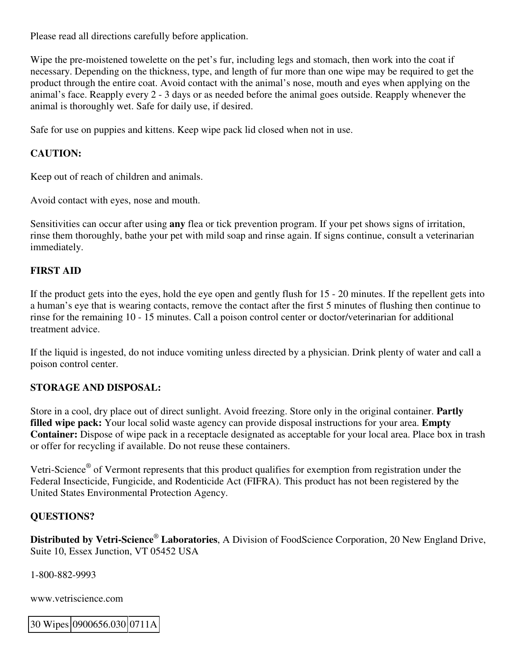Please read all directions carefully before application.

Wipe the pre-moistened towelette on the pet's fur, including legs and stomach, then work into the coat if necessary. Depending on the thickness, type, and length of fur more than one wipe may be required to get the product through the entire coat. Avoid contact with the animal's nose, mouth and eyes when applying on the animal's face. Reapply every 2 - 3 days or as needed before the animal goes outside. Reapply whenever the animal is thoroughly wet. Safe for daily use, if desired.

Safe for use on puppies and kittens. Keep wipe pack lid closed when not in use.

# **CAUTION:**

Keep out of reach of children and animals.

Avoid contact with eyes, nose and mouth.

Sensitivities can occur after using **any** flea or tick prevention program. If your pet shows signs of irritation, rinse them thoroughly, bathe your pet with mild soap and rinse again. If signs continue, consult a veterinarian immediately.

# **FIRST AID**

If the product gets into the eyes, hold the eye open and gently flush for 15 - 20 minutes. If the repellent gets into a human's eye that is wearing contacts, remove the contact after the first 5 minutes of flushing then continue to rinse for the remaining 10 - 15 minutes. Call a poison control center or doctor/veterinarian for additional treatment advice.

If the liquid is ingested, do not induce vomiting unless directed by a physician. Drink plenty of water and call a poison control center.

## **STORAGE AND DISPOSAL:**

Store in a cool, dry place out of direct sunlight. Avoid freezing. Store only in the original container. **Partly filled wipe pack:** Your local solid waste agency can provide disposal instructions for your area. **Empty Container:** Dispose of wipe pack in a receptacle designated as acceptable for your local area. Place box in trash or offer for recycling if available. Do not reuse these containers.

Vetri-Science<sup>®</sup> of Vermont represents that this product qualifies for exemption from registration under the Federal Insecticide, Fungicide, and Rodenticide Act (FIFRA). This product has not been registered by the United States Environmental Protection Agency.

## **QUESTIONS?**

**Distributed by Vetri-Science**®  **Laboratories**, A Division of FoodScience Corporation, 20 New England Drive, Suite 10, Essex Junction, VT 05452 USA

1-800-882-9993

www.vetriscience.com

30 Wipes 0900656.030 0711A